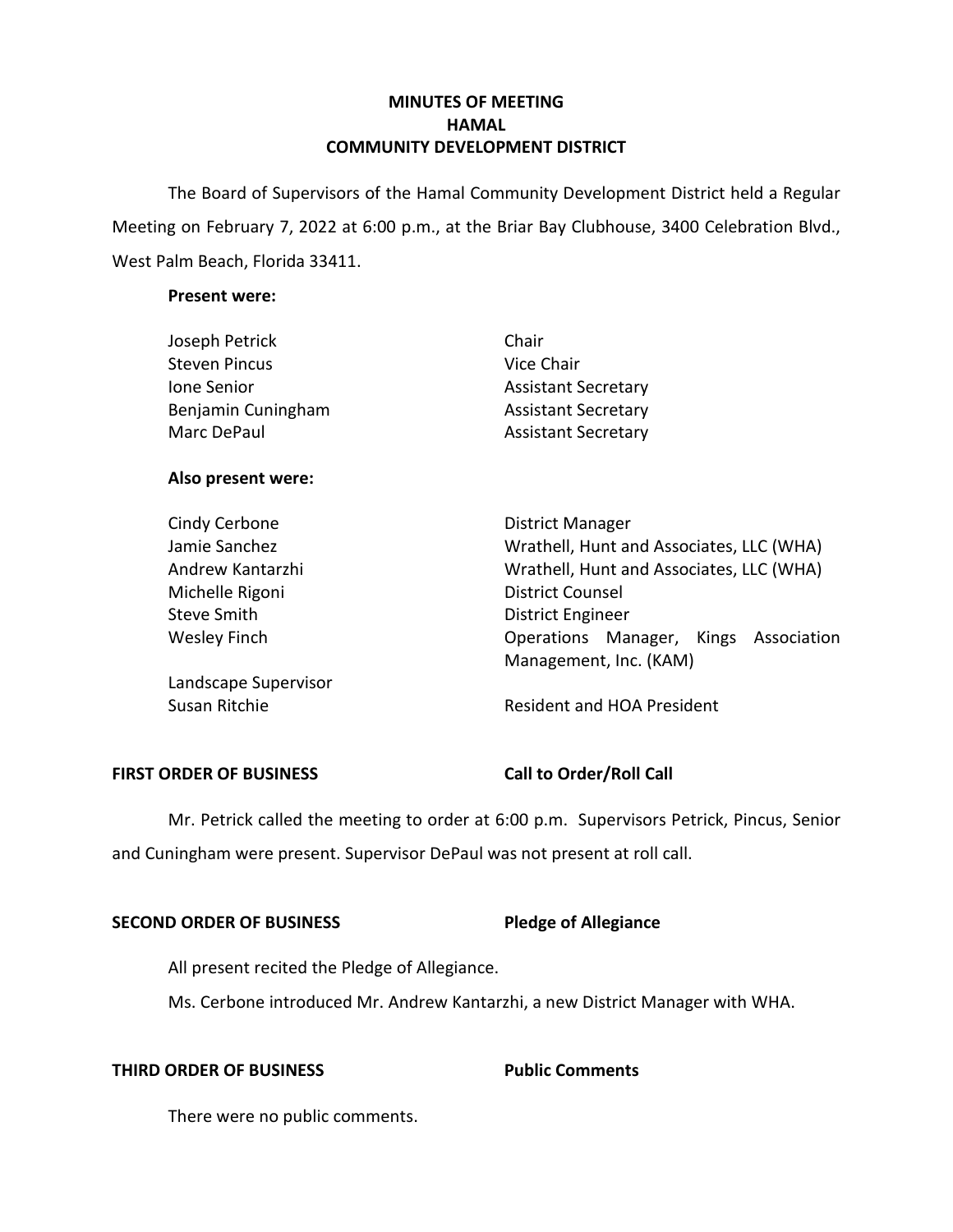# **MINUTES OF MEETING HAMAL COMMUNITY DEVELOPMENT DISTRICT**

 The Board of Supervisors of the Hamal Community Development District held a Regular Meeting on February 7, 2022 at 6:00 p.m., at the Briar Bay Clubhouse, 3400 Celebration Blvd., West Palm Beach, Florida 33411.

## **Present were:**

| Joseph Petrick       | Chair                                    |
|----------------------|------------------------------------------|
| <b>Steven Pincus</b> | Vice Chair                               |
| Jone Senior          | <b>Assistant Secretary</b>               |
| Benjamin Cuningham   | <b>Assistant Secretary</b>               |
| Marc DePaul          | <b>Assistant Secretary</b>               |
| Also present were:   |                                          |
| Cindy Cerbone        | District Manager                         |
| Jamie Sanchez        | Wrathell, Hunt and Associates, LLC (WHA) |
| Andrew Kantarzhi     | Wrathell, Hunt and Associates, LLC (WHA) |
| Michelle Rigoni      | <b>District Counsel</b>                  |

Wesley Finch **Come Constructs** Contractions Manager, Kings Association Steve Smith **District Engineer** 

Landscape Supervisor

Susan Ritchie **Resident and HOA President** 

Management, Inc. (KAM)

## FIRST ORDER OF BUSINESS Call to Order/Roll Call

 Mr. Petrick called the meeting to order at 6:00 p.m. Supervisors Petrick, Pincus, Senior and Cuningham were present. Supervisor DePaul was not present at roll call.

## **SECOND ORDER OF BUSINESS**

# **Pledge of Allegiance**

All present recited the Pledge of Allegiance.

Ms. Cerbone introduced Mr. Andrew Kantarzhi, a new District Manager with WHA.

# **THIRD ORDER OF BUSINESS**

**Public Comments** 

There were no public comments.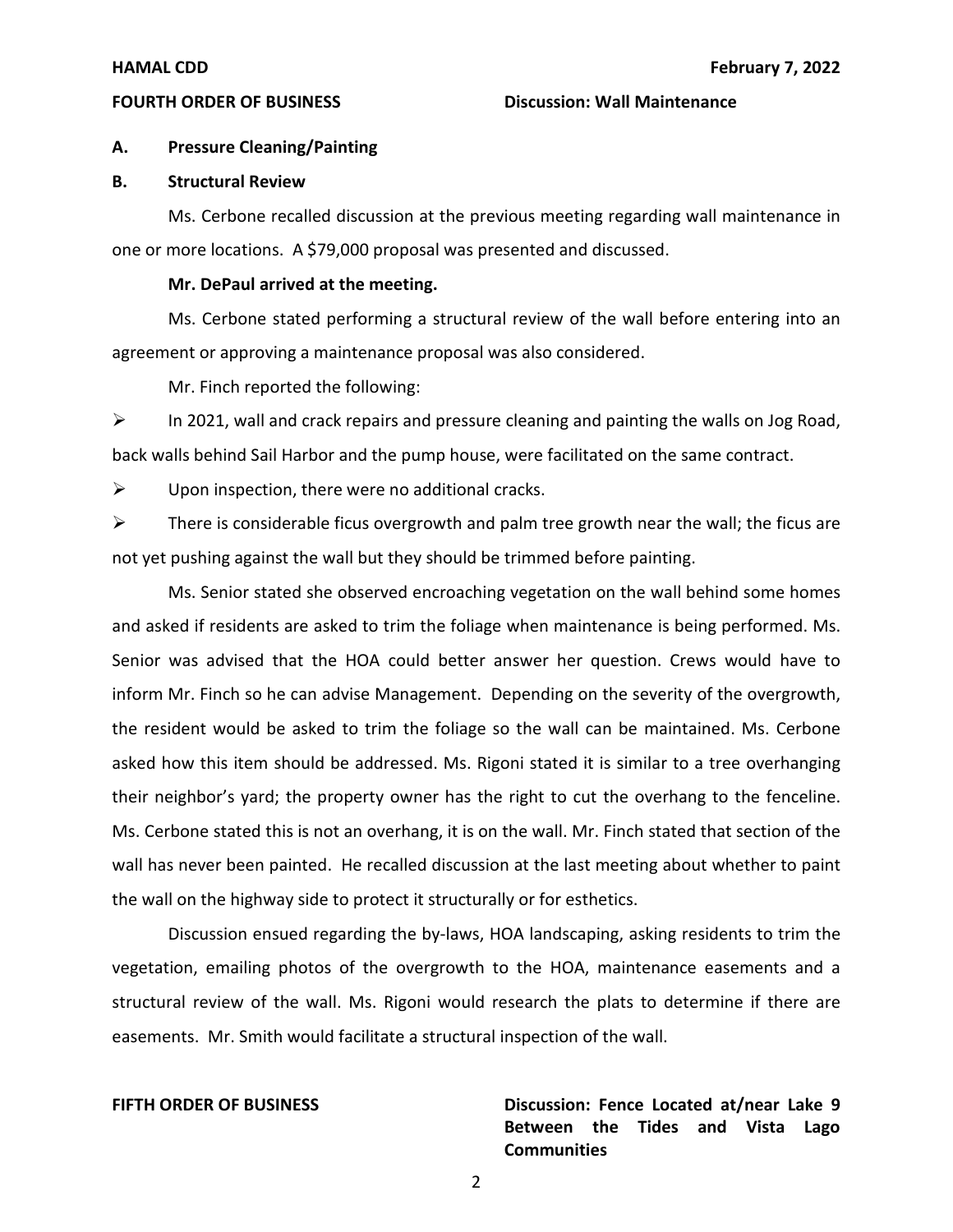## **FOURTH ORDER OF BUSINESS Discussion: Wall Maintenance**

### **A. Pressure Cleaning/Painting**

## **B. Structural Review**

Ms. Cerbone recalled discussion at the previous meeting regarding wall maintenance in one or more locations. A \$79,000 proposal was presented and discussed.

## **Mr. DePaul arrived at the meeting.**

Ms. Cerbone stated performing a structural review of the wall before entering into an agreement or approving a maintenance proposal was also considered.

Mr. Finch reported the following:

 $\triangleright$  In 2021, wall and crack repairs and pressure cleaning and painting the walls on Jog Road, back walls behind Sail Harbor and the pump house, were facilitated on the same contract.

 $\triangleright$  Upon inspection, there were no additional cracks.

 $\triangleright$  There is considerable ficus overgrowth and palm tree growth near the wall; the ficus are not yet pushing against the wall but they should be trimmed before painting.

Ms. Senior stated she observed encroaching vegetation on the wall behind some homes and asked if residents are asked to trim the foliage when maintenance is being performed. Ms. Senior was advised that the HOA could better answer her question. Crews would have to inform Mr. Finch so he can advise Management. Depending on the severity of the overgrowth, the resident would be asked to trim the foliage so the wall can be maintained. Ms. Cerbone asked how this item should be addressed. Ms. Rigoni stated it is similar to a tree overhanging their neighbor's yard; the property owner has the right to cut the overhang to the fenceline. Ms. Cerbone stated this is not an overhang, it is on the wall. Mr. Finch stated that section of the wall has never been painted. He recalled discussion at the last meeting about whether to paint the wall on the highway side to protect it structurally or for esthetics.

Discussion ensued regarding the by-laws, HOA landscaping, asking residents to trim the vegetation, emailing photos of the overgrowth to the HOA, maintenance easements and a structural review of the wall. Ms. Rigoni would research the plats to determine if there are easements. Mr. Smith would facilitate a structural inspection of the wall.

**FIFTH ORDER OF BUSINESS** Discussion: Fence Located at/near Lake 9  **Between the Tides and Vista Lago Communities**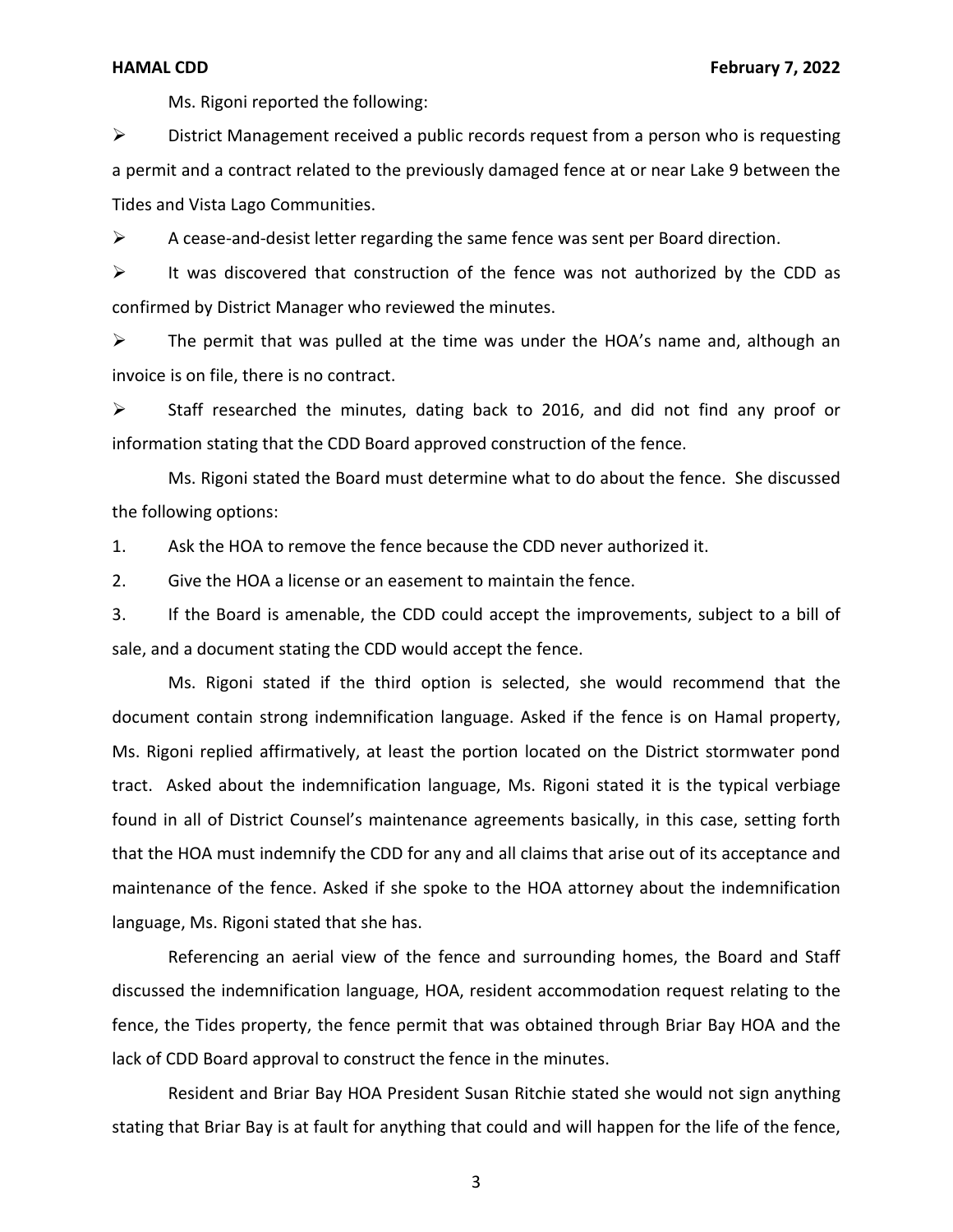Ms. Rigoni reported the following:

 a permit and a contract related to the previously damaged fence at or near Lake 9 between the Tides and Vista Lago Communities. ➢ District Management received a public records request from a person who is requesting

 $\triangleright$  A cease-and-desist letter regarding the same fence was sent per Board direction.

 confirmed by District Manager who reviewed the minutes.  $\triangleright$  It was discovered that construction of the fence was not authorized by the CDD as

➢ The permit that was pulled at the time was under the HOA's name and, although an invoice is on file, there is no contract.

➢ Staff researched the minutes, dating back to 2016, and did not find any proof or information stating that the CDD Board approved construction of the fence.

Ms. Rigoni stated the Board must determine what to do about the fence. She discussed the following options:

1. Ask the HOA to remove the fence because the CDD never authorized it.

2. Give the HOA a license or an easement to maintain the fence.

3. If the Board is amenable, the CDD could accept the improvements, subject to a bill of sale, and a document stating the CDD would accept the fence.

 Ms. Rigoni replied affirmatively, at least the portion located on the District stormwater pond Ms. Rigoni stated if the third option is selected, she would recommend that the document contain strong indemnification language. Asked if the fence is on Hamal property, tract. Asked about the indemnification language, Ms. Rigoni stated it is the typical verbiage found in all of District Counsel's maintenance agreements basically, in this case, setting forth that the HOA must indemnify the CDD for any and all claims that arise out of its acceptance and maintenance of the fence. Asked if she spoke to the HOA attorney about the indemnification language, Ms. Rigoni stated that she has.

 discussed the indemnification language, HOA, resident accommodation request relating to the Referencing an aerial view of the fence and surrounding homes, the Board and Staff fence, the Tides property, the fence permit that was obtained through Briar Bay HOA and the lack of CDD Board approval to construct the fence in the minutes.

Resident and Briar Bay HOA President Susan Ritchie stated she would not sign anything stating that Briar Bay is at fault for anything that could and will happen for the life of the fence,

3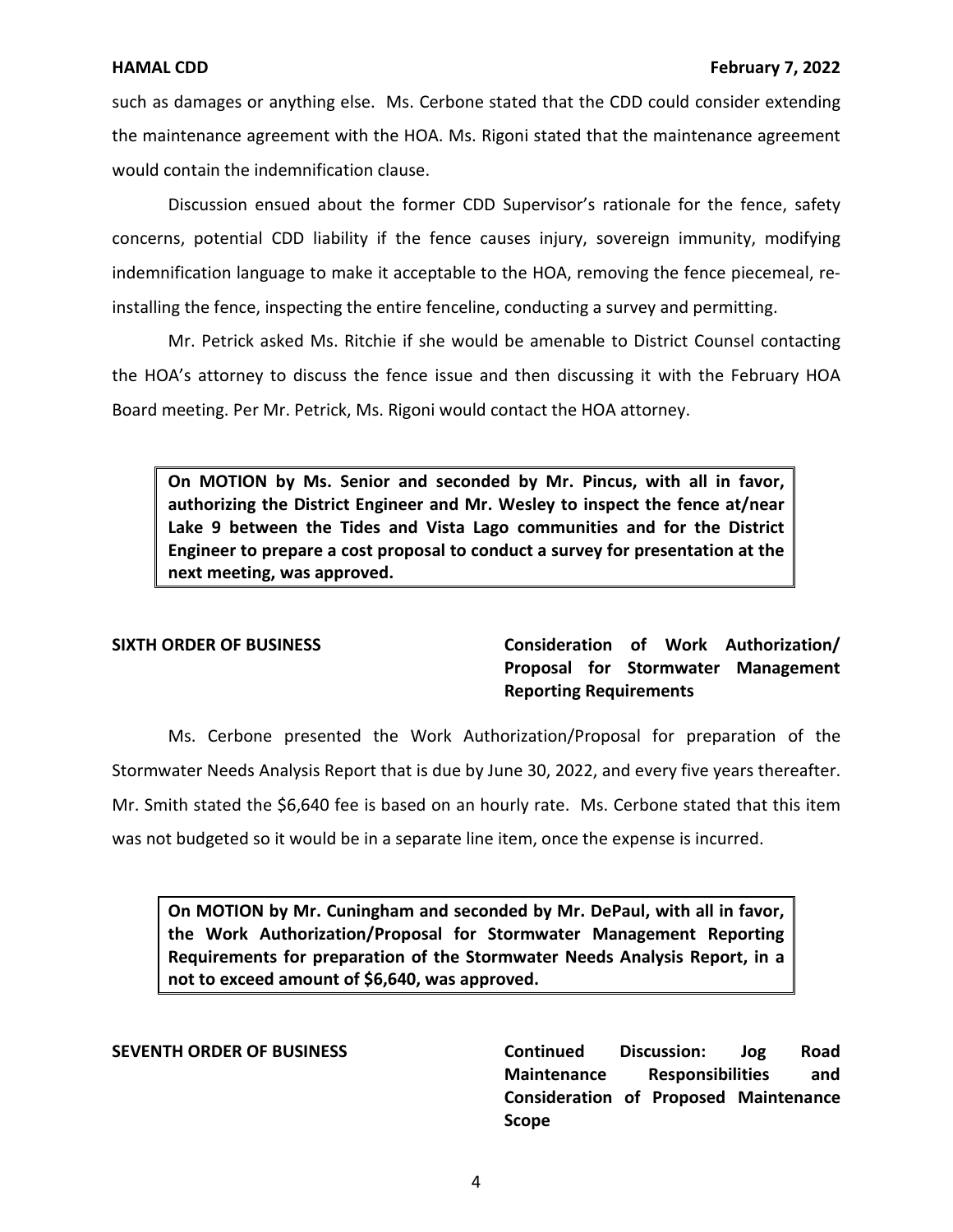such as damages or anything else. Ms. Cerbone stated that the CDD could consider extending the maintenance agreement with the HOA. Ms. Rigoni stated that the maintenance agreement would contain the indemnification clause.

Discussion ensued about the former CDD Supervisor's rationale for the fence, safety concerns, potential CDD liability if the fence causes injury, sovereign immunity, modifying indemnification language to make it acceptable to the HOA, removing the fence piecemeal, reinstalling the fence, inspecting the entire fenceline, conducting a survey and permitting.

Mr. Petrick asked Ms. Ritchie if she would be amenable to District Counsel contacting the HOA's attorney to discuss the fence issue and then discussing it with the February HOA Board meeting. Per Mr. Petrick, Ms. Rigoni would contact the HOA attorney.

 **On MOTION by Ms. Senior and seconded by Mr. Pincus, with all in favor, Lake 9 between the Tides and Vista Lago communities and for the District authorizing the District Engineer and Mr. Wesley to inspect the fence at/near Engineer to prepare a cost proposal to conduct a survey for presentation at the next meeting, was approved.** 

 **Proposal for Stormwater Management SIXTH ORDER OF BUSINESS Consideration of Work Authorization/ Reporting Requirements** 

Ms. Cerbone presented the Work Authorization/Proposal for preparation of the Stormwater Needs Analysis Report that is due by June 30, 2022, and every five years thereafter. Mr. Smith stated the \$6,640 fee is based on an hourly rate. Ms. Cerbone stated that this item was not budgeted so it would be in a separate line item, once the expense is incurred.

 **On MOTION by Mr. Cuningham and seconded by Mr. DePaul, with all in favor, the Work Authorization/Proposal for Stormwater Management Reporting Requirements for preparation of the Stormwater Needs Analysis Report, in a not to exceed amount of \$6,640, was approved.** 

 **Consideration of Proposed Maintenance SEVENTH ORDER OF BUSINESS Continued Discussion: Jog Road Maintenance Responsibilities and Scope**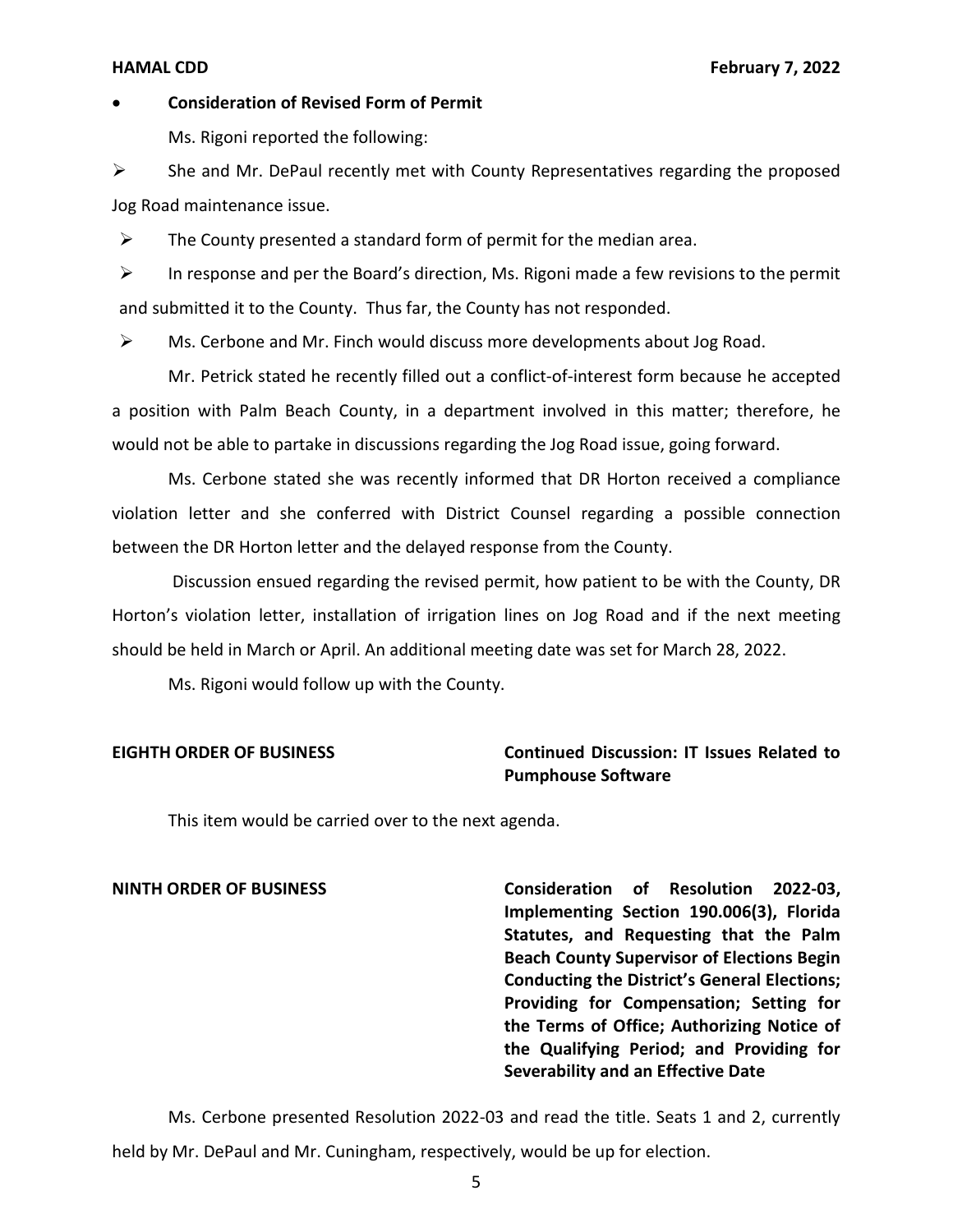### • **Consideration of Revised Form of Permit**

Ms. Rigoni reported the following:

➢ She and Mr. DePaul recently met with County Representatives regarding the proposed Jog Road maintenance issue.

 $\triangleright$  The County presented a standard form of permit for the median area.

 $\triangleright$  In response and per the Board's direction, Ms. Rigoni made a few revisions to the permit and submitted it to the County. Thus far, the County has not responded.

➢ Ms. Cerbone and Mr. Finch would discuss more developments about Jog Road.

Mr. Petrick stated he recently filled out a conflict-of-interest form because he accepted a position with Palm Beach County, in a department involved in this matter; therefore, he would not be able to partake in discussions regarding the Jog Road issue, going forward.

Ms. Cerbone stated she was recently informed that DR Horton received a compliance violation letter and she conferred with District Counsel regarding a possible connection between the DR Horton letter and the delayed response from the County.

Discussion ensued regarding the revised permit, how patient to be with the County, DR Horton's violation letter, installation of irrigation lines on Jog Road and if the next meeting should be held in March or April. An additional meeting date was set for March 28, 2022.

Ms. Rigoni would follow up with the County.

## **EIGHTH ORDER OF BUSINESS Continued Discussion: IT Issues Related to Pumphouse Software**

This item would be carried over to the next agenda.

 **NINTH ORDER OF BUSINESS Consideration of Resolution 2022-03, Implementing Section 190.006(3), Florida Beach County Supervisor of Elections Begin Conducting the District's General Elections; Providing for Compensation; Setting for the Terms of Office; Authorizing Notice of the Qualifying Period; and Providing for Statutes, and Requesting that the Palm Severability and an Effective Date** 

Ms. Cerbone presented Resolution 2022-03 and read the title. Seats 1 and 2, currently held by Mr. DePaul and Mr. Cuningham, respectively, would be up for election.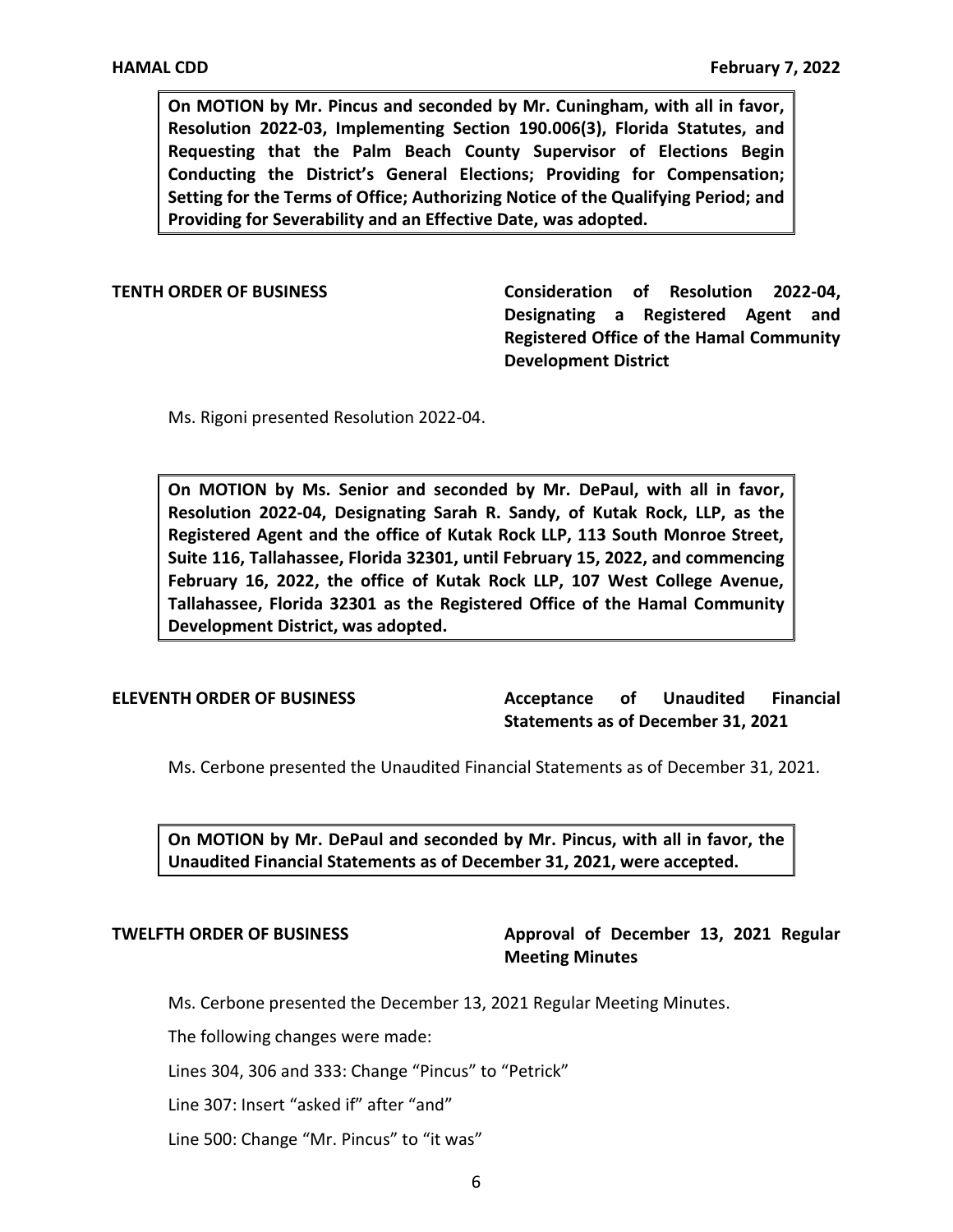**On MOTION by Mr. Pincus and seconded by Mr. Cuningham, with all in favor, Requesting that the Palm Beach County Supervisor of Elections Begin Conducting the District's General Elections; Providing for Compensation; Setting for the Terms of Office; Authorizing Notice of the Qualifying Period; and Resolution 2022-03, Implementing Section 190.006(3), Florida Statutes, and Providing for Severability and an Effective Date, was adopted.** 

 **TENTH ORDER OF BUSINESS Consideration of Resolution 2022-04, Designating a Registered Agent and Registered Office of the Hamal Community Development District** 

Ms. Rigoni presented Resolution 2022-04.

 **On MOTION by Ms. Senior and seconded by Mr. DePaul, with all in favor, Registered Agent and the office of Kutak Rock LLP, 113 South Monroe Street, Suite 116, Tallahassee, Florida 32301, until February 15, 2022, and commencing February 16, 2022, the office of Kutak Rock LLP, 107 West College Avenue, Tallahassee, Florida 32301 as the Registered Office of the Hamal Community Resolution 2022-04, Designating Sarah R. Sandy, of Kutak Rock, LLP, as the Development District, was adopted.** 

**ELEVENTH ORDER OF BUSINESS Acceptance of Unaudited Financial Statements as of December 31, 2021** 

Ms. Cerbone presented the Unaudited Financial Statements as of December 31, 2021.

 **On MOTION by Mr. DePaul and seconded by Mr. Pincus, with all in favor, the Unaudited Financial Statements as of December 31, 2021, were accepted.** 

# **TWELFTH ORDER OF BUSINESS Approval of December 13, 2021 Regular Meeting Minutes**

Ms. Cerbone presented the December 13, 2021 Regular Meeting Minutes.

The following changes were made:

Lines 304, 306 and 333: Change "Pincus" to "Petrick"

Line 307: Insert "asked if" after "and"

Line 500: Change "Mr. Pincus" to "it was"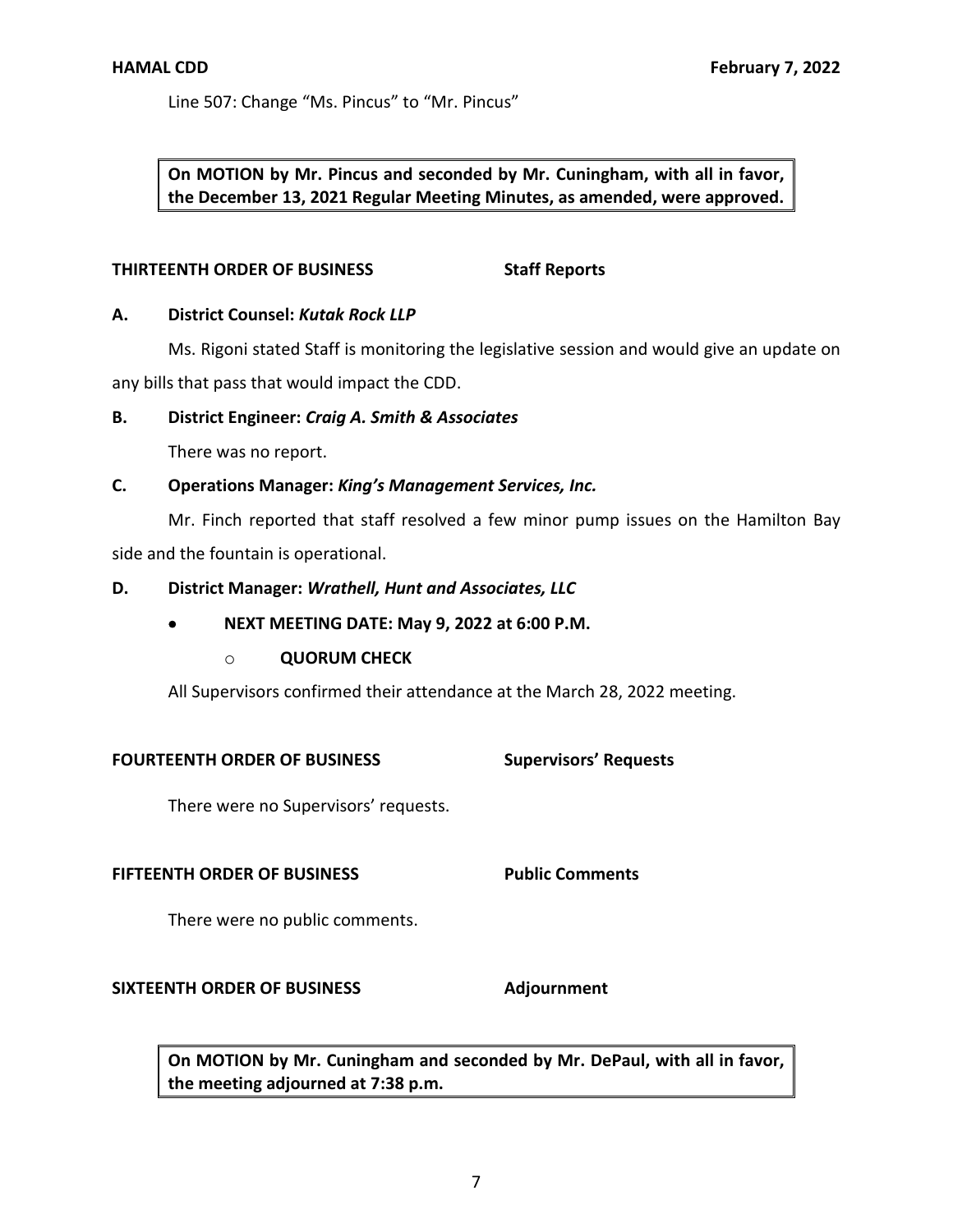Line 507: Change "Ms. Pincus" to "Mr. Pincus"

 **On MOTION by Mr. Pincus and seconded by Mr. Cuningham, with all in favor, the December 13, 2021 Regular Meeting Minutes, as amended, were approved.** 

## **THIRTEENTH ORDER OF BUSINESS Staff Reports**

## **A. District Counsel:** *Kutak Rock LLP*

Ms. Rigoni stated Staff is monitoring the legislative session and would give an update on any bills that pass that would impact the CDD.

## **B. District Engineer:** *Craig A. Smith & Associates*

There was no report.

## **C. Operations Manager:** *King's Management Services, Inc.*

Mr. Finch reported that staff resolved a few minor pump issues on the Hamilton Bay side and the fountain is operational.

## **D. District Manager:** *Wrathell, Hunt and Associates, LLC*

## • **NEXT MEETING DATE: May 9, 2022 at 6:00 P.M.**

## o **QUORUM CHECK**

All Supervisors confirmed their attendance at the March 28, 2022 meeting.

## **FOURTEENTH ORDER OF BUSINESS Supervisors' Requests**

There were no Supervisors' requests.

## **FIFTEENTH ORDER OF BUSINESS Public Comments**

There were no public comments.

## **SIXTEENTH ORDER OF BUSINESS Adjournment**

 **On MOTION by Mr. Cuningham and seconded by Mr. DePaul, with all in favor, the meeting adjourned at 7:38 p.m.**